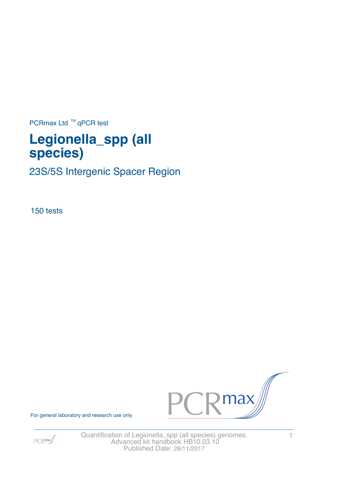PCRmax Ltd  $™$  qPCR test

# **Legionella\_spp (all species)**

23S/5S Intergenic Spacer Region

150 tests



 $PCR$ max

For general laboratory and research use only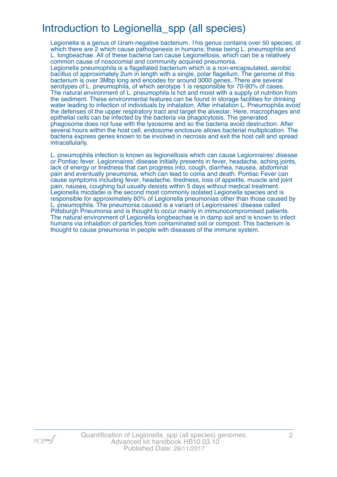# Introduction to Legionella\_spp (all species)

Legionella is a genus of Gram-negative bacterium. This genus contains over 50 species, of which there are 2 which cause pathogenesis in humans; these being L. pneumophila and L. longbeachae. All of these bacteria can cause Legionellosis, which can be a relatively common cause of nosocomial and community acquired pneumonia.

Legionella pneumophila is a flagellated bacterium which is a non-encapsulated, aerobic bacillus of approximately 2um in length with a single, polar flagellum. The genome of this bacterium is over 3Mbp long and encodes for around 3000 genes. There are several serotypes of L. pneumophila, of which serotype 1 is responsible for 70-90% of cases. The natural environment of L. pneumophila is hot and moist with a supply of nutrition from the sediment. These environmental features can be found in storage facilities for drinking water leading to infection of individuals by inhalation. After inhalation L. Pneumophila avoid the defenses of the upper respiratory tract and target the alveolar. Here, macrophages and epithelial cells can be infected by the bacteria via phagocytosis. The generated phagosome does not fuse with the lysosome and so the bacteria avoid destruction. After several hours within the host cell, endosome enclosure allows bacterial multiplication. The bacteria express genes known to be involved in necrosis and exit the host cell and spread intracellularly.

L. pneumophila infection is known as legionellosis which can cause Legionnaires' disease or Pontiac fever. Legionnaires' disease initially presents in fever, headache, aching joints, lack of energy or tiredness that can progress into, cough, diarrhea, nausea, abdominal pain and eventually pneumonia, which can lead to coma and death. Pontiac Fever can cause symptoms including fever, headache, tiredness, loss of appetite, muscle and joint pain, nausea, coughing but usually desists within 5 days without medical treatment. Legionella micdadei is the second most commonly isolated Legionella species and is responsible for approximately 60% of Legionella pneumonias other than those caused by L. pneumophila. The pneumonia caused is a variant of Legionnaires' disease called Pittsburgh Pneumonia and is thought to occur mainly in immunocompromised patients. The natural environment of Legionella longbeachae is in damp soil and is known to infect humans via inhalation of particles from contaminated soil or compost. This bacterium is thought to cause pneumonia in people with diseases of the immune system.

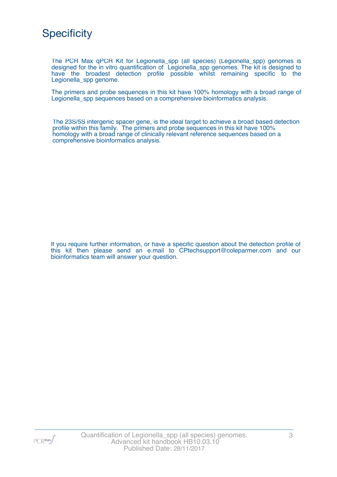

The PCR Max qPCR Kit for Legionella\_spp (all species) (Legionella\_spp) genomes is designed for the in vitro quantification of Legionella\_spp genomes. The kit is designed to have the broadest detection profile possible whilst remaining specific to the Legionella\_spp genome.

The primers and probe sequences in this kit have 100% homology with a broad range of Legionella spp sequences based on a comprehensive bioinformatics analysis.

The 23S/5S intergenic spacer gene, is the ideal target to achieve a broad based detection profile within this family. The primers and probe sequences in this kit have 100% homology with a broad range of clinically relevant reference sequences based on a comprehensive bioinformatics analysis.

If you require further information, or have a specific question about the detection profile of this kit then please send an e.mail to CPtechsupport@coleparmer.com and our bioinformatics team will answer your question.

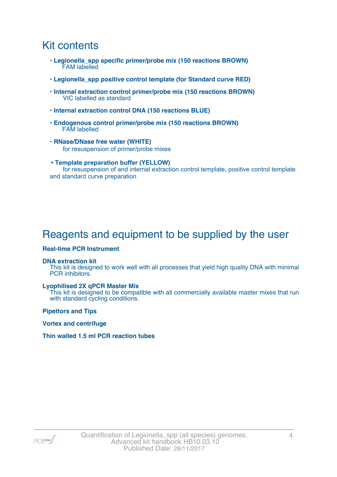## Kit contents

- **Legionella\_spp specific primer/probe mix (150 reactions BROWN)** FAM labelled
- **Legionella\_spp positive control template (for Standard curve RED)**
- **Internal extraction control primer/probe mix (150 reactions BROWN)** VIC labelled as standard
- **Internal extraction control DNA (150 reactions BLUE)**
- **Endogenous control primer/probe mix (150 reactions BROWN)** FAM labelled
- **RNase/DNase free water (WHITE)** for resuspension of primer/probe mixes
- **Template preparation buffer (YELLOW)** for resuspension of and internal extraction control template, positive control template and standard curve preparation

# Reagents and equipment to be supplied by the user

### **Real-time PCR Instrument**

#### **DNA extraction kit**

This kit is designed to work well with all processes that yield high quality DNA with minimal PCR inhibitors.

#### **Lyophilised 2X qPCR Master Mix**

This kit is designed to be compatible with all commercially available master mixes that run with standard cycling conditions.

**Pipettors and Tips**

**Vortex and centrifuge**

### **Thin walled 1.5 ml PCR reaction tubes**

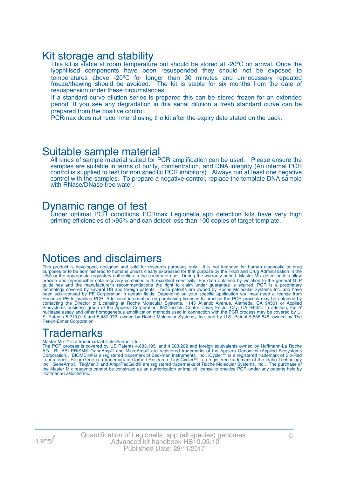### Kit storage and stability

This kit is stable at room temperature but should be stored at -20°C on arrival. Once the lyophilised components have been resuspended they should not be exposed to temperatures above -20ºC for longer than 30 minutes and unnecessary repeated freeze/thawing should be avoided. The kit is stable for six months from the date of resuspension under these circumstances.

If a standard curve dilution series is prepared this can be stored frozen for an extended period. If you see any degradation in this serial dilution a fresh standard curve can be prepared from the positive control.

PCRmax does not recommend using the kit after the expiry date stated on the pack.

### Suitable sample material

All kinds of sample material suited for PCR amplification can be used. Please ensure the samples are suitable in terms of purity, concentration, and DNA integrity (An internal PCR control is supplied to test for non specific PCR inhibitors). Always run at least one negative control with the samples. To prepare a negative-control, replace the template DNA sample with RNase/DNase free water.

### Dynamic range of test

Under optimal PCR conditions PCRmax Legionella\_spp detection kits have very high priming efficiencies of >95% and can detect less than 100 copies of target template.

## Notices and disclaimers

This product is developed, designed and sold for research purposes only. It is not intended for human diagnostic or drug purposes or to be administered to humans unless clearly expressed for that purpose by the Food and Drug Administration in the USA or the appropriate regulatory authorities in the country of use. During the warranty period Master Mix detection kits allow precise and reproducible data recovery combined with excellent sensitivity. For data obtained by violation to the general GLP guidelines and the manufacturer's recommendations the right to claim under guarantee is expired. PCR is a proprietary technology covered by several US and foreign patents. These patents are owned by Roche Molecular Systems Inc. and have been sub-licensed by PE Corporation in certain fields. Depending on your specific application you may need a license from Roche or PE to practice PCR. Additional information on purchasing licenses to practice the PCR process may be obtained by contacting the Director of Licensing at Roche Molecular Systems, 1145 Atlantic Avenue, Alameda, CA 94501 or Applied Biosystems business group of the Applera Corporation, 850 Lincoln Centre Drive, Foster City, CA 94404. In addition, the 5' nuclease assay and other homogeneous amplification methods used in connection with the PCR process may be covered by U. S. Patents 5,210,015 and 5,487,972, owned by Roche Molecular Systems, Inc, and by U.S. Patent 5,538,848, owned by The Perkin-Elmer Corporation.

## **Trademarks**

#### Master Mix™ is a trademark of Cole-Parmer Ltd.

The PCR process is covered by US Patents 4,683,195, and 4,683,202 and foreign equivalents owned by Hoffmann-La Roche AG. BI, ABI PRISM® GeneAmp® and MicroAmp® are registered trademarks of the Applera Genomics (Applied Biosystems Corporation). BIOMEK® is a registered trademark of Beckman Instruments, Inc.; iCycler™ is a registered trademark of Bio-Rad Laboratories, Rotor-Gene is a trademark of Corbett Research. LightCycler™ is a registered trademark of the Idaho Technology Inc. GeneAmp®, TaqMan® and AmpliTaqGold® are registered trademarks of Roche Molecular Systems, Inc., The purchase of the Master Mix reagents cannot be construed as an authorization or implicit license to practice PCR under any patents held by Hoffmann-LaRoche Inc.

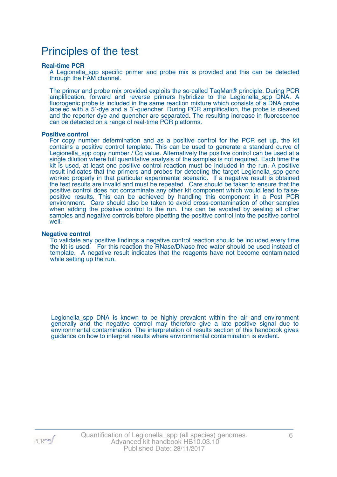## Principles of the test

#### **Real-time PCR**

A Legionella\_spp specific primer and probe mix is provided and this can be detected through the FAM channel.

The primer and probe mix provided exploits the so-called TaqMan® principle. During PCR amplification, forward and reverse primers hybridize to the Legionella\_spp DNA. A fluorogenic probe is included in the same reaction mixture which consists of a DNA probe labeled with a 5`-dye and a 3`-quencher. During PCR amplification, the probe is cleaved and the reporter dye and quencher are separated. The resulting increase in fluorescence can be detected on a range of real-time PCR platforms.

#### **Positive control**

For copy number determination and as a positive control for the PCR set up, the kit contains a positive control template. This can be used to generate a standard curve of Legionella\_spp copy number / Cq value. Alternatively the positive control can be used at a single dilution where full quantitative analysis of the samples is not required. Each time the kit is used, at least one positive control reaction must be included in the run. A positive result indicates that the primers and probes for detecting the target Legionella\_spp gene worked properly in that particular experimental scenario. If a negative result is obtained the test results are invalid and must be repeated. Care should be taken to ensure that the positive control does not contaminate any other kit component which would lead to falsepositive results. This can be achieved by handling this component in a Post PCR environment. Care should also be taken to avoid cross-contamination of other samples when adding the positive control to the run. This can be avoided by sealing all other samples and negative controls before pipetting the positive control into the positive control well.

#### **Negative control**

To validate any positive findings a negative control reaction should be included every time the kit is used. For this reaction the RNase/DNase free water should be used instead of template. A negative result indicates that the reagents have not become contaminated while setting up the run.

Legionella spp DNA is known to be highly prevalent within the air and environment generally and the negative control may therefore give a late positive signal due to environmental contamination. The interpretation of results section of this handbook gives guidance on how to interpret results where environmental contamination is evident.

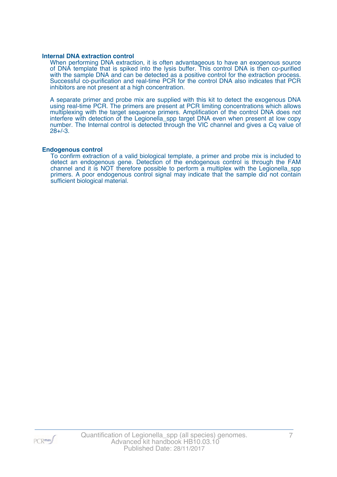#### **Internal DNA extraction control**

When performing DNA extraction, it is often advantageous to have an exogenous source of DNA template that is spiked into the lysis buffer. This control DNA is then co-purified with the sample DNA and can be detected as a positive control for the extraction process. Successful co-purification and real-time PCR for the control DNA also indicates that PCR inhibitors are not present at a high concentration.

A separate primer and probe mix are supplied with this kit to detect the exogenous DNA using real-time PCR. The primers are present at PCR limiting concentrations which allows multiplexing with the target sequence primers. Amplification of the control DNA does not interfere with detection of the Legionella\_spp target DNA even when present at low copy number. The Internal control is detected through the VIC channel and gives a Cq value of 28+/-3.

#### **Endogenous control**

To confirm extraction of a valid biological template, a primer and probe mix is included to detect an endogenous gene. Detection of the endogenous control is through the FAM channel and it is NOT therefore possible to perform a multiplex with the Legionella\_spp primers. A poor endogenous control signal may indicate that the sample did not contain sufficient biological material.

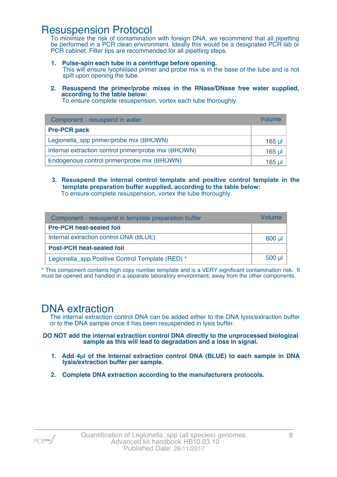### Resuspension Protocol

To minimize the risk of contamination with foreign DNA, we recommend that all pipetting be performed in a PCR clean environment. Ideally this would be a designated PCR lab or PCR cabinet. Filter tips are recommended for all pipetting steps.

- **1. Pulse-spin each tube in a centrifuge before opening.** This will ensure lyophilised primer and probe mix is in the base of the tube and is not spilt upon opening the tube.
- **2. Resuspend the primer/probe mixes in the RNase/DNase free water supplied, according to the table below:**

To ensure complete resuspension, vortex each tube thoroughly.

| Component - resuspend in water                       | Volume   |
|------------------------------------------------------|----------|
| <b>Pre-PCR pack</b>                                  |          |
| Legionella_spp primer/probe mix (BROWN)              | $165$ µl |
| Internal extraction control primer/probe mix (BROWN) | $165$ µl |
| Endogenous control primer/probe mix (BROWN)          | 165 ul   |

**3. Resuspend the internal control template and positive control template in the template preparation buffer supplied, according to the table below:** To ensure complete resuspension, vortex the tube thoroughly.

| Component - resuspend in template preparation buffer |          |  |  |
|------------------------------------------------------|----------|--|--|
| <b>Pre-PCR heat-sealed foil</b>                      |          |  |  |
| Internal extraction control DNA (BLUE)               | $600$ µ  |  |  |
| <b>Post-PCR heat-sealed foil</b>                     |          |  |  |
| Legionella_spp Positive Control Template (RED) *     | $500$ µl |  |  |

\* This component contains high copy number template and is a VERY significant contamination risk. It must be opened and handled in a separate laboratory environment, away from the other components.

## DNA extraction

The internal extraction control DNA can be added either to the DNA lysis/extraction buffer or to the DNA sample once it has been resuspended in lysis buffer.

**DO NOT add the internal extraction control DNA directly to the unprocessed biological sample as this will lead to degradation and a loss in signal.**

- **1. Add 4µl of the Internal extraction control DNA (BLUE) to each sample in DNA lysis/extraction buffer per sample.**
- **2. Complete DNA extraction according to the manufacturers protocols.**

 $PCR$ <sup>max</sup>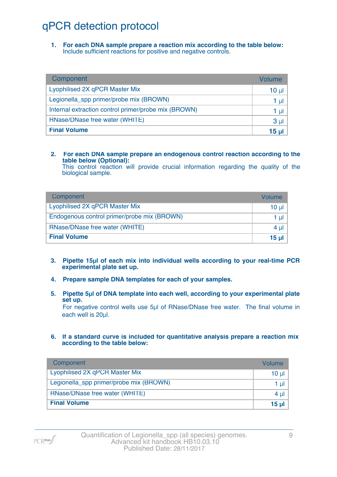# qPCR detection protocol

**1. For each DNA sample prepare a reaction mix according to the table below:** Include sufficient reactions for positive and negative controls.

| Component                                            | Volume          |
|------------------------------------------------------|-----------------|
| Lyophilised 2X qPCR Master Mix                       | 10 <sub>µ</sub> |
| Legionella_spp primer/probe mix (BROWN)              | 1 µl            |
| Internal extraction control primer/probe mix (BROWN) | 1 µl            |
| RNase/DNase free water (WHITE)                       | 3 <sub>µ</sub>  |
| <b>Final Volume</b>                                  | 15 <sub>µ</sub> |

### **2. For each DNA sample prepare an endogenous control reaction according to the table below (Optional):**

This control reaction will provide crucial information regarding the quality of the biological sample.

| Component                                   | Volume       |
|---------------------------------------------|--------------|
| Lyophilised 2X qPCR Master Mix              | 10 ul        |
| Endogenous control primer/probe mix (BROWN) | 1 ul         |
| RNase/DNase free water (WHITE)              | $4 \mu$      |
| <b>Final Volume</b>                         | <u>15 ul</u> |

- **3. Pipette 15µl of each mix into individual wells according to your real-time PCR experimental plate set up.**
- **4. Prepare sample DNA templates for each of your samples.**
- **5. Pipette 5µl of DNA template into each well, according to your experimental plate set up.**

For negative control wells use 5µl of RNase/DNase free water. The final volume in each well is 20ul.

**6. If a standard curve is included for quantitative analysis prepare a reaction mix according to the table below:**

| Component                               | Volume   |
|-----------------------------------------|----------|
| Lyophilised 2X qPCR Master Mix          | $10 \mu$ |
| Legionella_spp primer/probe mix (BROWN) | 1 $\mu$  |
| RNase/DNase free water (WHITE)          | 4 $\mu$  |
| <b>Final Volume</b>                     | 15 $\mu$ |

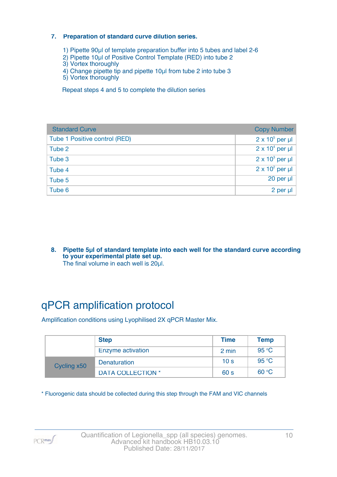### **7. Preparation of standard curve dilution series.**

- 1) Pipette 90µl of template preparation buffer into 5 tubes and label 2-6
- 2) Pipette 10µl of Positive Control Template (RED) into tube 2
- 3) Vortex thoroughly
- 4) Change pipette tip and pipette 10µl from tube 2 into tube 3
- 5) Vortex thoroughly

Repeat steps 4 and 5 to complete the dilution series

| <b>Standard Curve</b>         | <b>Copy Number</b>     |
|-------------------------------|------------------------|
| Tube 1 Positive control (RED) | $2 \times 10^5$ per µl |
| Tube 2                        | $2 \times 10^4$ per µl |
| Tube 3                        | $2 \times 10^3$ per µl |
| Tube 4                        | $2 \times 10^2$ per µl |
| Tube 5                        | 20 per µl              |
| Tube 6                        | 2 per µl               |

**8. Pipette 5µl of standard template into each well for the standard curve according to your experimental plate set up.** The final volume in each well is 20µl.

# qPCR amplification protocol

Amplification conditions using Lyophilised 2X qPCR Master Mix.

| <b>Step</b> |                          | <b>Time</b>     | <b>Temp</b> |
|-------------|--------------------------|-----------------|-------------|
|             | Enzyme activation        | 2 min           | 95 °C       |
| Cycling x50 | <b>Denaturation</b>      | 10 <sub>s</sub> | 95 °C       |
|             | <b>DATA COLLECTION *</b> | 60 <sub>s</sub> | 60 °C       |

\* Fluorogenic data should be collected during this step through the FAM and VIC channels

PCR<sub>max</sub>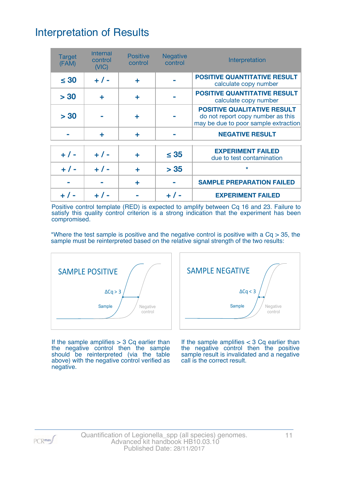# Interpretation of Results

| <b>Target</b><br>(FAM) | <b>Internal</b><br>control<br>(NIC) | <b>Positive</b><br>control | <b>Negative</b><br>control | Interpretation                                                                                                  |
|------------------------|-------------------------------------|----------------------------|----------------------------|-----------------------------------------------------------------------------------------------------------------|
| $\leq 30$              | $+ 1 -$                             | ÷                          |                            | <b>POSITIVE QUANTITATIVE RESULT</b><br>calculate copy number                                                    |
| > 30                   | ÷                                   | ٠                          |                            | <b>POSITIVE QUANTITATIVE RESULT</b><br>calculate copy number                                                    |
| > 30                   |                                     | ÷                          |                            | <b>POSITIVE QUALITATIVE RESULT</b><br>do not report copy number as this<br>may be due to poor sample extraction |
|                        | ÷                                   | ٠                          |                            | <b>NEGATIVE RESULT</b>                                                                                          |
| $+ 1 -$                | $+ 1 -$                             | ٠                          | $\leq 35$                  | <b>EXPERIMENT FAILED</b><br>due to test contamination                                                           |
| $+ 1 -$                | $+1$                                | ÷                          | > 35                       | $\star$                                                                                                         |
|                        |                                     | ÷                          |                            | <b>SAMPLE PREPARATION FAILED</b>                                                                                |
|                        | $+  / -$                            |                            |                            | <b>EXPERIMENT FAILED</b>                                                                                        |

Positive control template (RED) is expected to amplify between Cq 16 and 23. Failure to satisfy this quality control criterion is a strong indication that the experiment has been compromised.

\*Where the test sample is positive and the negative control is positive with a  $Cq > 35$ , the sample must be reinterpreted based on the relative signal strength of the two results:



**Sample**  $\left/ \right/$  Negative control  $\Delta Cq < 3$ SAMPLE NEGATIVE

If the sample amplifies  $> 3$  Cq earlier than the negative control then the sample should be reinterpreted (via the table above) with the negative control verified as negative.

If the sample amplifies  $<$  3 Cq earlier than the negative control then the positive sample result is invalidated and a negative call is the correct result.